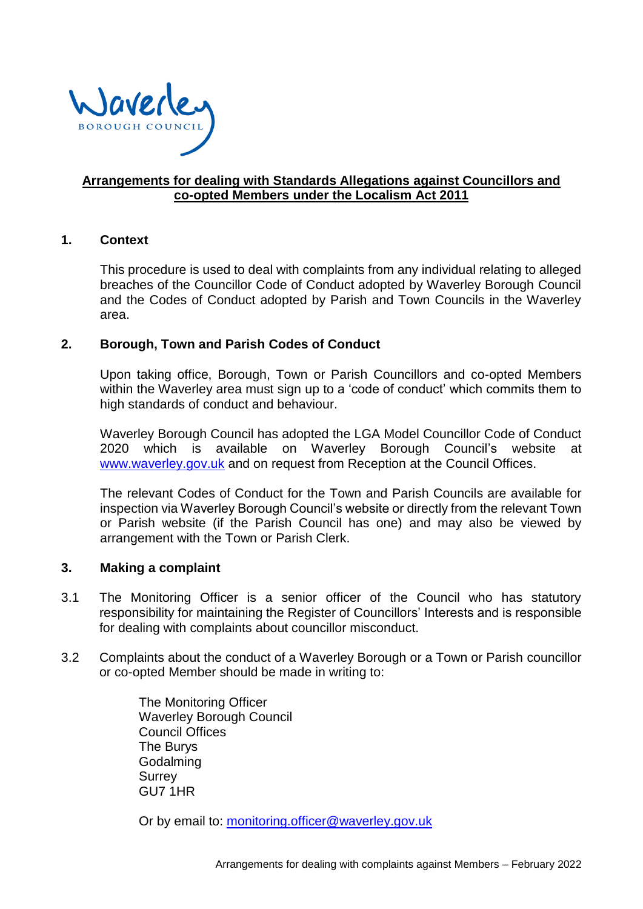<span id="page-0-0"></span>

## **[Arrangements for dealing with Standards Allegations](#page-0-0) against Councillors and co-opted Members [under the Localism Act 2011](#page-0-0)**

#### **1. Context**

This procedure is used to deal with complaints from any individual relating to alleged breaches of the Councillor Code of Conduct adopted by Waverley Borough Council and the Codes of Conduct adopted by Parish and Town Councils in the Waverley area.

#### **2. Borough, Town and Parish Codes of Conduct**

Upon taking office, Borough, Town or Parish Councillors and co-opted Members within the Waverley area must sign up to a 'code of conduct' which commits them to high standards of conduct and behaviour.

Waverley Borough Council has adopted the LGA Model Councillor Code of Conduct 2020 which is available on Waverley Borough Council's website at [www.waverley.gov.uk](http://www.waverley.gov.uk/) and on request from Reception at the Council Offices.

The relevant Codes of Conduct for the Town and Parish Councils are available for inspection via Waverley Borough Council's website or directly from the relevant Town or Parish website (if the Parish Council has one) and may also be viewed by arrangement with the Town or Parish Clerk.

#### **3. Making a complaint**

- 3.1 The Monitoring Officer is a senior officer of the Council who has statutory responsibility for maintaining the Register of Councillors' Interests and is responsible for dealing with complaints about councillor misconduct.
- 3.2 Complaints about the conduct of a Waverley Borough or a Town or Parish councillor or co-opted Member should be made in writing to:

The Monitoring Officer Waverley Borough Council Council Offices The Burys Godalming **Surrey** GU7 1HR

Or by email to: [monitoring.officer@waverley.gov.uk](mailto:monitoring.officer@waverley.gov.uk)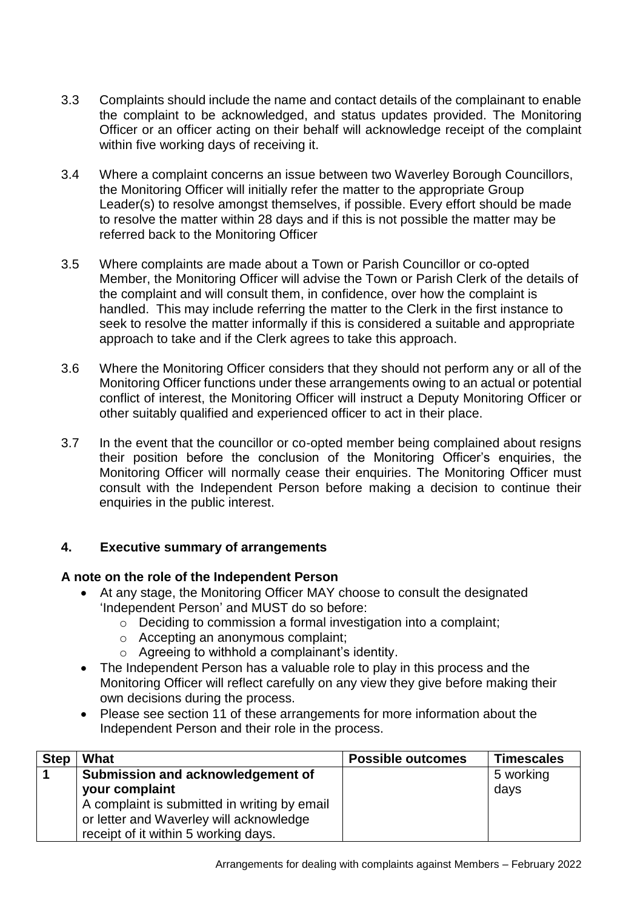- 3.3 Complaints should include the name and contact details of the complainant to enable the complaint to be acknowledged, and status updates provided. The Monitoring Officer or an officer acting on their behalf will acknowledge receipt of the complaint within five working days of receiving it.
- 3.4 Where a complaint concerns an issue between two Waverley Borough Councillors, the Monitoring Officer will initially refer the matter to the appropriate Group Leader(s) to resolve amongst themselves, if possible. Every effort should be made to resolve the matter within 28 days and if this is not possible the matter may be referred back to the Monitoring Officer
- 3.5 Where complaints are made about a Town or Parish Councillor or co-opted Member, the Monitoring Officer will advise the Town or Parish Clerk of the details of the complaint and will consult them, in confidence, over how the complaint is handled. This may include referring the matter to the Clerk in the first instance to seek to resolve the matter informally if this is considered a suitable and appropriate approach to take and if the Clerk agrees to take this approach.
- 3.6 Where the Monitoring Officer considers that they should not perform any or all of the Monitoring Officer functions under these arrangements owing to an actual or potential conflict of interest, the Monitoring Officer will instruct a Deputy Monitoring Officer or other suitably qualified and experienced officer to act in their place.
- 3.7 In the event that the councillor or co-opted member being complained about resigns their position before the conclusion of the Monitoring Officer's enquiries, the Monitoring Officer will normally cease their enquiries. The Monitoring Officer must consult with the Independent Person before making a decision to continue their enquiries in the public interest.

# **4. Executive summary of arrangements**

# **A note on the role of the Independent Person**

- At any stage, the Monitoring Officer MAY choose to consult the designated 'Independent Person' and MUST do so before:
	- o Deciding to commission a formal investigation into a complaint;
	- o Accepting an anonymous complaint;
	- o Agreeing to withhold a complainant's identity.
- The Independent Person has a valuable role to play in this process and the Monitoring Officer will reflect carefully on any view they give before making their own decisions during the process.
- Please see section 11 of these arrangements for more information about the Independent Person and their role in the process.

| <b>Step</b> | What                                         | <b>Possible outcomes</b> | <b>Timescales</b> |
|-------------|----------------------------------------------|--------------------------|-------------------|
|             | Submission and acknowledgement of            |                          | 5 working         |
|             | your complaint                               |                          | days              |
|             | A complaint is submitted in writing by email |                          |                   |
|             | or letter and Waverley will acknowledge      |                          |                   |
|             | receipt of it within 5 working days.         |                          |                   |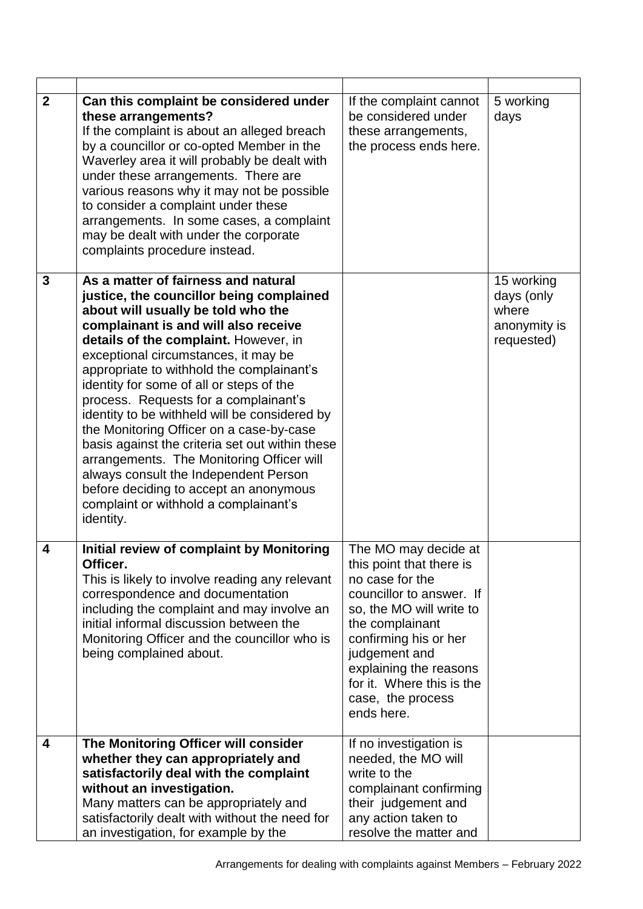| $\boldsymbol{2}$ | Can this complaint be considered under<br>these arrangements?<br>If the complaint is about an alleged breach<br>by a councillor or co-opted Member in the<br>Waverley area it will probably be dealt with<br>under these arrangements. There are<br>various reasons why it may not be possible<br>to consider a complaint under these<br>arrangements. In some cases, a complaint<br>may be dealt with under the corporate<br>complaints procedure instead.                                                                                                                                                                                                                                                            | If the complaint cannot<br>be considered under<br>these arrangements,<br>the process ends here.                                                                                                                                                                                    | 5 working<br>days                                               |
|------------------|------------------------------------------------------------------------------------------------------------------------------------------------------------------------------------------------------------------------------------------------------------------------------------------------------------------------------------------------------------------------------------------------------------------------------------------------------------------------------------------------------------------------------------------------------------------------------------------------------------------------------------------------------------------------------------------------------------------------|------------------------------------------------------------------------------------------------------------------------------------------------------------------------------------------------------------------------------------------------------------------------------------|-----------------------------------------------------------------|
| 3                | As a matter of fairness and natural<br>justice, the councillor being complained<br>about will usually be told who the<br>complainant is and will also receive<br>details of the complaint. However, in<br>exceptional circumstances, it may be<br>appropriate to withhold the complainant's<br>identity for some of all or steps of the<br>process. Requests for a complainant's<br>identity to be withheld will be considered by<br>the Monitoring Officer on a case-by-case<br>basis against the criteria set out within these<br>arrangements. The Monitoring Officer will<br>always consult the Independent Person<br>before deciding to accept an anonymous<br>complaint or withhold a complainant's<br>identity. |                                                                                                                                                                                                                                                                                    | 15 working<br>days (only<br>where<br>anonymity is<br>requested) |
| 4                | Initial review of complaint by Monitoring<br>Officer.<br>This is likely to involve reading any relevant<br>correspondence and documentation<br>including the complaint and may involve an<br>initial informal discussion between the<br>Monitoring Officer and the councillor who is<br>being complained about.                                                                                                                                                                                                                                                                                                                                                                                                        | The MO may decide at<br>this point that there is<br>no case for the<br>councillor to answer. If<br>so, the MO will write to<br>the complainant<br>confirming his or her<br>judgement and<br>explaining the reasons<br>for it. Where this is the<br>case, the process<br>ends here. |                                                                 |
| 4                | The Monitoring Officer will consider                                                                                                                                                                                                                                                                                                                                                                                                                                                                                                                                                                                                                                                                                   | If no investigation is                                                                                                                                                                                                                                                             |                                                                 |
|                  | whether they can appropriately and<br>satisfactorily deal with the complaint                                                                                                                                                                                                                                                                                                                                                                                                                                                                                                                                                                                                                                           | needed, the MO will<br>write to the                                                                                                                                                                                                                                                |                                                                 |
|                  | without an investigation.                                                                                                                                                                                                                                                                                                                                                                                                                                                                                                                                                                                                                                                                                              | complainant confirming                                                                                                                                                                                                                                                             |                                                                 |
|                  | Many matters can be appropriately and                                                                                                                                                                                                                                                                                                                                                                                                                                                                                                                                                                                                                                                                                  | their judgement and                                                                                                                                                                                                                                                                |                                                                 |
|                  | satisfactorily dealt with without the need for                                                                                                                                                                                                                                                                                                                                                                                                                                                                                                                                                                                                                                                                         | any action taken to                                                                                                                                                                                                                                                                |                                                                 |
|                  | an investigation, for example by the                                                                                                                                                                                                                                                                                                                                                                                                                                                                                                                                                                                                                                                                                   | resolve the matter and                                                                                                                                                                                                                                                             |                                                                 |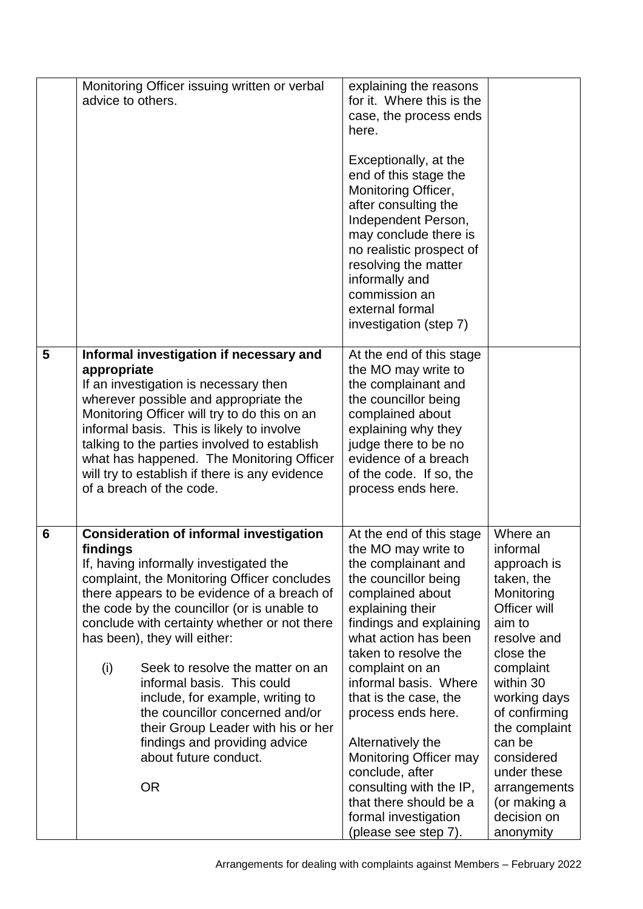|   | Monitoring Officer issuing written or verbal<br>advice to others.                                                                                                                                                                                                                                                                                                                                                                                                                                                                                                                              | explaining the reasons<br>for it. Where this is the<br>case, the process ends<br>here.<br>Exceptionally, at the<br>end of this stage the<br>Monitoring Officer,<br>after consulting the<br>Independent Person,<br>may conclude there is<br>no realistic prospect of<br>resolving the matter<br>informally and<br>commission an<br>external formal<br>investigation (step 7)                                                                                                                |                                                                                                                                                                                                                                                                                                      |
|---|------------------------------------------------------------------------------------------------------------------------------------------------------------------------------------------------------------------------------------------------------------------------------------------------------------------------------------------------------------------------------------------------------------------------------------------------------------------------------------------------------------------------------------------------------------------------------------------------|--------------------------------------------------------------------------------------------------------------------------------------------------------------------------------------------------------------------------------------------------------------------------------------------------------------------------------------------------------------------------------------------------------------------------------------------------------------------------------------------|------------------------------------------------------------------------------------------------------------------------------------------------------------------------------------------------------------------------------------------------------------------------------------------------------|
| 5 | Informal investigation if necessary and<br>appropriate<br>If an investigation is necessary then<br>wherever possible and appropriate the<br>Monitoring Officer will try to do this on an<br>informal basis. This is likely to involve<br>talking to the parties involved to establish<br>what has happened. The Monitoring Officer<br>will try to establish if there is any evidence<br>of a breach of the code.                                                                                                                                                                               | At the end of this stage<br>the MO may write to<br>the complainant and<br>the councillor being<br>complained about<br>explaining why they<br>judge there to be no<br>evidence of a breach<br>of the code. If so, the<br>process ends here.                                                                                                                                                                                                                                                 |                                                                                                                                                                                                                                                                                                      |
| 6 | <b>Consideration of informal investigation</b><br>findings<br>If, having informally investigated the<br>complaint, the Monitoring Officer concludes<br>there appears to be evidence of a breach of<br>the code by the councillor (or is unable to<br>conclude with certainty whether or not there<br>has been), they will either:<br>(i)<br>Seek to resolve the matter on an<br>informal basis. This could<br>include, for example, writing to<br>the councillor concerned and/or<br>their Group Leader with his or her<br>findings and providing advice<br>about future conduct.<br><b>OR</b> | At the end of this stage<br>the MO may write to<br>the complainant and<br>the councillor being<br>complained about<br>explaining their<br>findings and explaining<br>what action has been<br>taken to resolve the<br>complaint on an<br>informal basis. Where<br>that is the case, the<br>process ends here.<br>Alternatively the<br><b>Monitoring Officer may</b><br>conclude, after<br>consulting with the IP,<br>that there should be a<br>formal investigation<br>(please see step 7). | Where an<br>informal<br>approach is<br>taken, the<br>Monitoring<br>Officer will<br>aim to<br>resolve and<br>close the<br>complaint<br>within 30<br>working days<br>of confirming<br>the complaint<br>can be<br>considered<br>under these<br>arrangements<br>(or making a<br>decision on<br>anonymity |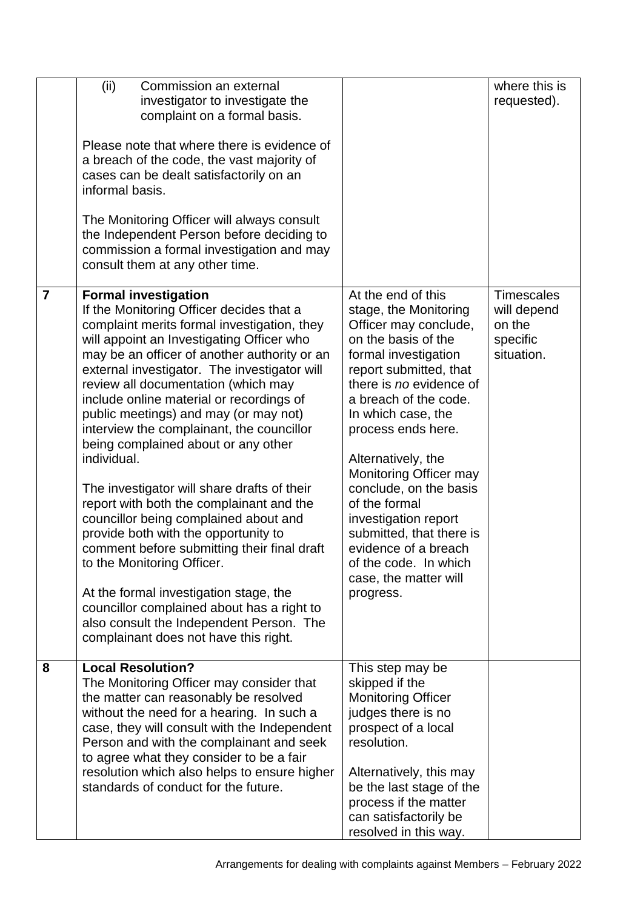|                | (ii)<br>Commission an external<br>investigator to investigate the<br>complaint on a formal basis.<br>Please note that where there is evidence of<br>a breach of the code, the vast majority of<br>cases can be dealt satisfactorily on an<br>informal basis.<br>The Monitoring Officer will always consult<br>the Independent Person before deciding to<br>commission a formal investigation and may<br>consult them at any other time.                                                                                                                                                                                                                                                                                                                                                                                                                                                                                                  |                                                                                                                                                                                                                                                                                                                                                                                                                                                                                     | where this is<br>requested).                                         |
|----------------|------------------------------------------------------------------------------------------------------------------------------------------------------------------------------------------------------------------------------------------------------------------------------------------------------------------------------------------------------------------------------------------------------------------------------------------------------------------------------------------------------------------------------------------------------------------------------------------------------------------------------------------------------------------------------------------------------------------------------------------------------------------------------------------------------------------------------------------------------------------------------------------------------------------------------------------|-------------------------------------------------------------------------------------------------------------------------------------------------------------------------------------------------------------------------------------------------------------------------------------------------------------------------------------------------------------------------------------------------------------------------------------------------------------------------------------|----------------------------------------------------------------------|
| $\overline{7}$ | <b>Formal investigation</b><br>If the Monitoring Officer decides that a<br>complaint merits formal investigation, they<br>will appoint an Investigating Officer who<br>may be an officer of another authority or an<br>external investigator. The investigator will<br>review all documentation (which may<br>include online material or recordings of<br>public meetings) and may (or may not)<br>interview the complainant, the councillor<br>being complained about or any other<br>individual.<br>The investigator will share drafts of their<br>report with both the complainant and the<br>councillor being complained about and<br>provide both with the opportunity to<br>comment before submitting their final draft<br>to the Monitoring Officer.<br>At the formal investigation stage, the<br>councillor complained about has a right to<br>also consult the Independent Person. The<br>complainant does not have this right. | At the end of this<br>stage, the Monitoring<br>Officer may conclude,<br>on the basis of the<br>formal investigation<br>report submitted, that<br>there is no evidence of<br>a breach of the code.<br>In which case, the<br>process ends here.<br>Alternatively, the<br>Monitoring Officer may<br>conclude, on the basis<br>of the formal<br>investigation report<br>submitted, that there is<br>evidence of a breach<br>of the code. In which<br>case, the matter will<br>progress. | <b>Timescales</b><br>will depend<br>on the<br>specific<br>situation. |
| 8              | <b>Local Resolution?</b><br>The Monitoring Officer may consider that<br>the matter can reasonably be resolved<br>without the need for a hearing. In such a<br>case, they will consult with the Independent<br>Person and with the complainant and seek<br>to agree what they consider to be a fair<br>resolution which also helps to ensure higher<br>standards of conduct for the future.                                                                                                                                                                                                                                                                                                                                                                                                                                                                                                                                               | This step may be<br>skipped if the<br><b>Monitoring Officer</b><br>judges there is no<br>prospect of a local<br>resolution.<br>Alternatively, this may<br>be the last stage of the<br>process if the matter<br>can satisfactorily be<br>resolved in this way.                                                                                                                                                                                                                       |                                                                      |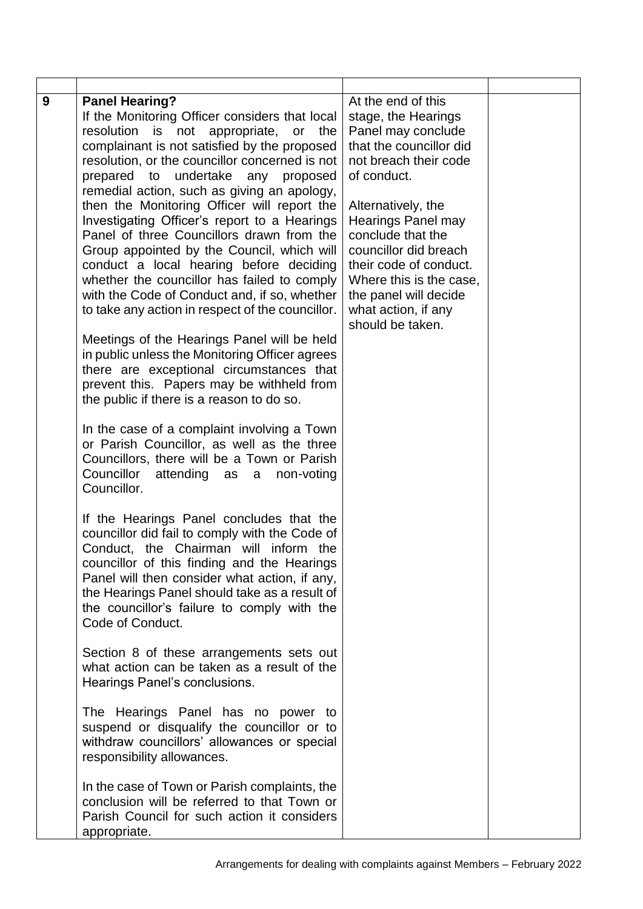| 9 | <b>Panel Hearing?</b><br>If the Monitoring Officer considers that local<br>resolution is not appropriate, or<br>the<br>complainant is not satisfied by the proposed<br>resolution, or the councillor concerned is not<br>prepared to undertake any proposed<br>remedial action, such as giving an apology,<br>then the Monitoring Officer will report the<br>Investigating Officer's report to a Hearings<br>Panel of three Councillors drawn from the<br>Group appointed by the Council, which will<br>conduct a local hearing before deciding<br>whether the councillor has failed to comply<br>with the Code of Conduct and, if so, whether<br>to take any action in respect of the councillor.<br>Meetings of the Hearings Panel will be held<br>in public unless the Monitoring Officer agrees<br>there are exceptional circumstances that<br>prevent this. Papers may be withheld from<br>the public if there is a reason to do so.<br>In the case of a complaint involving a Town | At the end of this<br>stage, the Hearings<br>Panel may conclude<br>that the councillor did<br>not breach their code<br>of conduct.<br>Alternatively, the<br><b>Hearings Panel may</b><br>conclude that the<br>councillor did breach<br>their code of conduct.<br>Where this is the case,<br>the panel will decide<br>what action, if any<br>should be taken. |  |
|---|------------------------------------------------------------------------------------------------------------------------------------------------------------------------------------------------------------------------------------------------------------------------------------------------------------------------------------------------------------------------------------------------------------------------------------------------------------------------------------------------------------------------------------------------------------------------------------------------------------------------------------------------------------------------------------------------------------------------------------------------------------------------------------------------------------------------------------------------------------------------------------------------------------------------------------------------------------------------------------------|--------------------------------------------------------------------------------------------------------------------------------------------------------------------------------------------------------------------------------------------------------------------------------------------------------------------------------------------------------------|--|
|   | or Parish Councillor, as well as the three<br>Councillors, there will be a Town or Parish<br>Councillor attending as a<br>non-voting<br>Councillor.                                                                                                                                                                                                                                                                                                                                                                                                                                                                                                                                                                                                                                                                                                                                                                                                                                      |                                                                                                                                                                                                                                                                                                                                                              |  |
|   | If the Hearings Panel concludes that the<br>councillor did fail to comply with the Code of<br>Conduct, the Chairman will inform the<br>councillor of this finding and the Hearings<br>Panel will then consider what action, if any,<br>the Hearings Panel should take as a result of<br>the councillor's failure to comply with the<br>Code of Conduct.                                                                                                                                                                                                                                                                                                                                                                                                                                                                                                                                                                                                                                  |                                                                                                                                                                                                                                                                                                                                                              |  |
|   | Section 8 of these arrangements sets out<br>what action can be taken as a result of the<br>Hearings Panel's conclusions.                                                                                                                                                                                                                                                                                                                                                                                                                                                                                                                                                                                                                                                                                                                                                                                                                                                                 |                                                                                                                                                                                                                                                                                                                                                              |  |
|   | The Hearings Panel has no power to<br>suspend or disqualify the councillor or to<br>withdraw councillors' allowances or special<br>responsibility allowances.                                                                                                                                                                                                                                                                                                                                                                                                                                                                                                                                                                                                                                                                                                                                                                                                                            |                                                                                                                                                                                                                                                                                                                                                              |  |
|   | In the case of Town or Parish complaints, the<br>conclusion will be referred to that Town or<br>Parish Council for such action it considers<br>appropriate.                                                                                                                                                                                                                                                                                                                                                                                                                                                                                                                                                                                                                                                                                                                                                                                                                              |                                                                                                                                                                                                                                                                                                                                                              |  |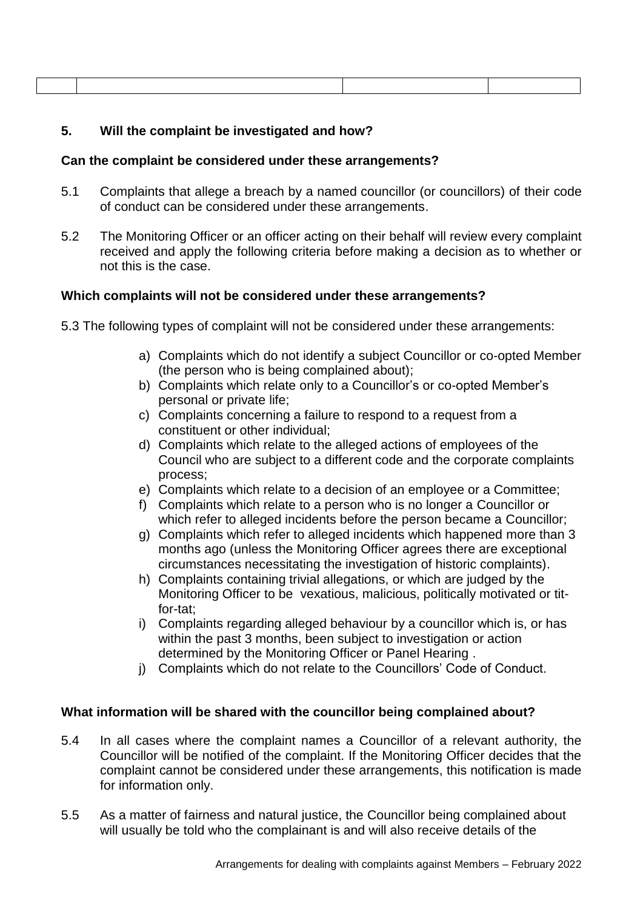#### **5. Will the complaint be investigated and how?**

#### **Can the complaint be considered under these arrangements?**

- 5.1 Complaints that allege a breach by a named councillor (or councillors) of their code of conduct can be considered under these arrangements.
- 5.2 The Monitoring Officer or an officer acting on their behalf will review every complaint received and apply the following criteria before making a decision as to whether or not this is the case.

## **Which complaints will not be considered under these arrangements?**

- 5.3 The following types of complaint will not be considered under these arrangements:
	- a) Complaints which do not identify a subject Councillor or co-opted Member (the person who is being complained about);
	- b) Complaints which relate only to a Councillor's or co-opted Member's personal or private life;
	- c) Complaints concerning a failure to respond to a request from a constituent or other individual;
	- d) Complaints which relate to the alleged actions of employees of the Council who are subject to a different code and the corporate complaints process;
	- e) Complaints which relate to a decision of an employee or a Committee;
	- f) Complaints which relate to a person who is no longer a Councillor or which refer to alleged incidents before the person became a Councillor;
	- g) Complaints which refer to alleged incidents which happened more than 3 months ago (unless the Monitoring Officer agrees there are exceptional circumstances necessitating the investigation of historic complaints).
	- h) Complaints containing trivial allegations, or which are judged by the Monitoring Officer to be vexatious, malicious, politically motivated or titfor-tat;
	- i) Complaints regarding alleged behaviour by a councillor which is, or has within the past 3 months, been subject to investigation or action determined by the Monitoring Officer or Panel Hearing .
	- j) Complaints which do not relate to the Councillors' Code of Conduct.

#### **What information will be shared with the councillor being complained about?**

- 5.4 In all cases where the complaint names a Councillor of a relevant authority, the Councillor will be notified of the complaint. If the Monitoring Officer decides that the complaint cannot be considered under these arrangements, this notification is made for information only.
- 5.5 As a matter of fairness and natural justice, the Councillor being complained about will usually be told who the complainant is and will also receive details of the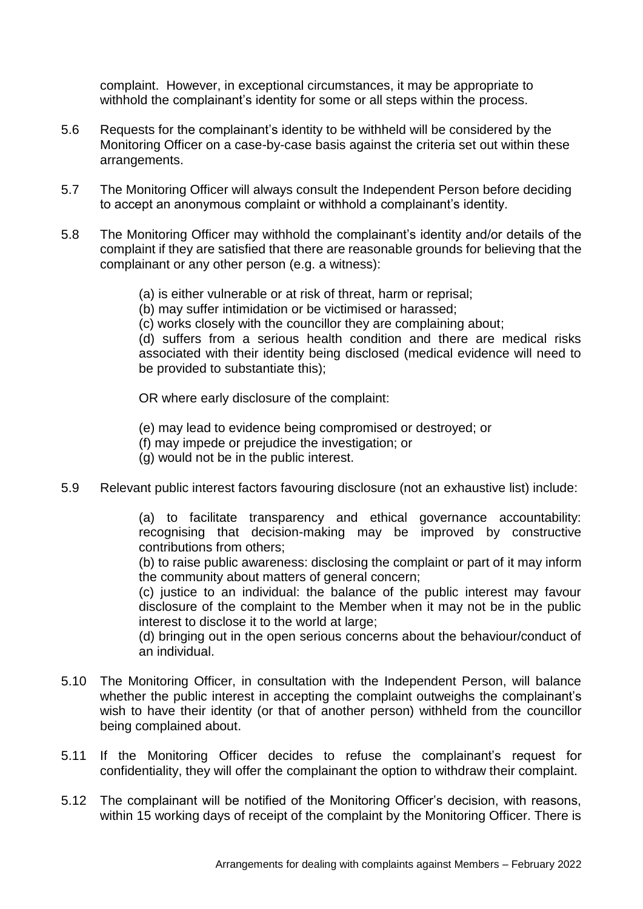complaint. However, in exceptional circumstances, it may be appropriate to withhold the complainant's identity for some or all steps within the process.

- 5.6 Requests for the complainant's identity to be withheld will be considered by the Monitoring Officer on a case-by-case basis against the criteria set out within these arrangements.
- 5.7 The Monitoring Officer will always consult the Independent Person before deciding to accept an anonymous complaint or withhold a complainant's identity.
- 5.8 The Monitoring Officer may withhold the complainant's identity and/or details of the complaint if they are satisfied that there are reasonable grounds for believing that the complainant or any other person (e.g. a witness):
	- (a) is either vulnerable or at risk of threat, harm or reprisal;
	- (b) may suffer intimidation or be victimised or harassed;
	- (c) works closely with the councillor they are complaining about;

(d) suffers from a serious health condition and there are medical risks associated with their identity being disclosed (medical evidence will need to be provided to substantiate this);

OR where early disclosure of the complaint:

(e) may lead to evidence being compromised or destroyed; or

- (f) may impede or prejudice the investigation; or
- (g) would not be in the public interest.
- 5.9 Relevant public interest factors favouring disclosure (not an exhaustive list) include:

(a) to facilitate transparency and ethical governance accountability: recognising that decision-making may be improved by constructive contributions from others;

(b) to raise public awareness: disclosing the complaint or part of it may inform the community about matters of general concern;

(c) justice to an individual: the balance of the public interest may favour disclosure of the complaint to the Member when it may not be in the public interest to disclose it to the world at large:

(d) bringing out in the open serious concerns about the behaviour/conduct of an individual.

- 5.10 The Monitoring Officer, in consultation with the Independent Person, will balance whether the public interest in accepting the complaint outweighs the complainant's wish to have their identity (or that of another person) withheld from the councillor being complained about.
- 5.11 If the Monitoring Officer decides to refuse the complainant's request for confidentiality, they will offer the complainant the option to withdraw their complaint.
- 5.12 The complainant will be notified of the Monitoring Officer's decision, with reasons, within 15 working days of receipt of the complaint by the Monitoring Officer. There is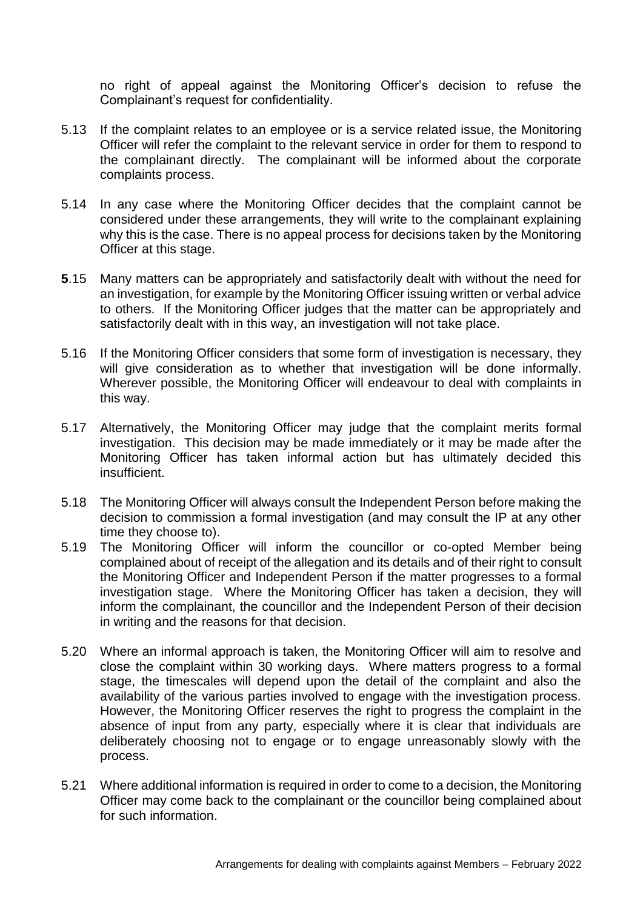no right of appeal against the Monitoring Officer's decision to refuse the Complainant's request for confidentiality.

- 5.13 If the complaint relates to an employee or is a service related issue, the Monitoring Officer will refer the complaint to the relevant service in order for them to respond to the complainant directly. The complainant will be informed about the corporate complaints process.
- 5.14 In any case where the Monitoring Officer decides that the complaint cannot be considered under these arrangements, they will write to the complainant explaining why this is the case. There is no appeal process for decisions taken by the Monitoring Officer at this stage.
- **5**.15 Many matters can be appropriately and satisfactorily dealt with without the need for an investigation, for example by the Monitoring Officer issuing written or verbal advice to others. If the Monitoring Officer judges that the matter can be appropriately and satisfactorily dealt with in this way, an investigation will not take place.
- 5.16 If the Monitoring Officer considers that some form of investigation is necessary, they will give consideration as to whether that investigation will be done informally. Wherever possible, the Monitoring Officer will endeavour to deal with complaints in this way.
- 5.17 Alternatively, the Monitoring Officer may judge that the complaint merits formal investigation. This decision may be made immediately or it may be made after the Monitoring Officer has taken informal action but has ultimately decided this insufficient.
- 5.18 The Monitoring Officer will always consult the Independent Person before making the decision to commission a formal investigation (and may consult the IP at any other time they choose to).
- 5.19 The Monitoring Officer will inform the councillor or co-opted Member being complained about of receipt of the allegation and its details and of their right to consult the Monitoring Officer and Independent Person if the matter progresses to a formal investigation stage. Where the Monitoring Officer has taken a decision, they will inform the complainant, the councillor and the Independent Person of their decision in writing and the reasons for that decision.
- 5.20 Where an informal approach is taken, the Monitoring Officer will aim to resolve and close the complaint within 30 working days. Where matters progress to a formal stage, the timescales will depend upon the detail of the complaint and also the availability of the various parties involved to engage with the investigation process. However, the Monitoring Officer reserves the right to progress the complaint in the absence of input from any party, especially where it is clear that individuals are deliberately choosing not to engage or to engage unreasonably slowly with the process.
- 5.21 Where additional information is required in order to come to a decision, the Monitoring Officer may come back to the complainant or the councillor being complained about for such information.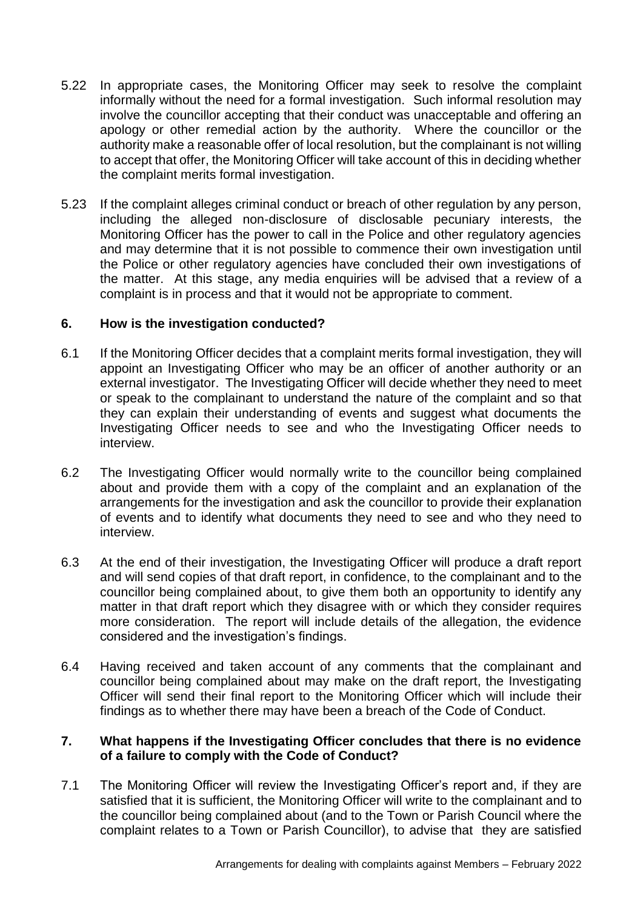- 5.22 In appropriate cases, the Monitoring Officer may seek to resolve the complaint informally without the need for a formal investigation. Such informal resolution may involve the councillor accepting that their conduct was unacceptable and offering an apology or other remedial action by the authority. Where the councillor or the authority make a reasonable offer of local resolution, but the complainant is not willing to accept that offer, the Monitoring Officer will take account of this in deciding whether the complaint merits formal investigation.
- 5.23 If the complaint alleges criminal conduct or breach of other regulation by any person, including the alleged non-disclosure of disclosable pecuniary interests, the Monitoring Officer has the power to call in the Police and other regulatory agencies and may determine that it is not possible to commence their own investigation until the Police or other regulatory agencies have concluded their own investigations of the matter. At this stage, any media enquiries will be advised that a review of a complaint is in process and that it would not be appropriate to comment.

# **6. How is the investigation conducted?**

- 6.1 If the Monitoring Officer decides that a complaint merits formal investigation, they will appoint an Investigating Officer who may be an officer of another authority or an external investigator. The Investigating Officer will decide whether they need to meet or speak to the complainant to understand the nature of the complaint and so that they can explain their understanding of events and suggest what documents the Investigating Officer needs to see and who the Investigating Officer needs to interview.
- 6.2 The Investigating Officer would normally write to the councillor being complained about and provide them with a copy of the complaint and an explanation of the arrangements for the investigation and ask the councillor to provide their explanation of events and to identify what documents they need to see and who they need to interview.
- 6.3 At the end of their investigation, the Investigating Officer will produce a draft report and will send copies of that draft report, in confidence, to the complainant and to the councillor being complained about, to give them both an opportunity to identify any matter in that draft report which they disagree with or which they consider requires more consideration. The report will include details of the allegation, the evidence considered and the investigation's findings.
- 6.4 Having received and taken account of any comments that the complainant and councillor being complained about may make on the draft report, the Investigating Officer will send their final report to the Monitoring Officer which will include their findings as to whether there may have been a breach of the Code of Conduct.

## **7. What happens if the Investigating Officer concludes that there is no evidence of a failure to comply with the Code of Conduct?**

7.1 The Monitoring Officer will review the Investigating Officer's report and, if they are satisfied that it is sufficient, the Monitoring Officer will write to the complainant and to the councillor being complained about (and to the Town or Parish Council where the complaint relates to a Town or Parish Councillor), to advise that they are satisfied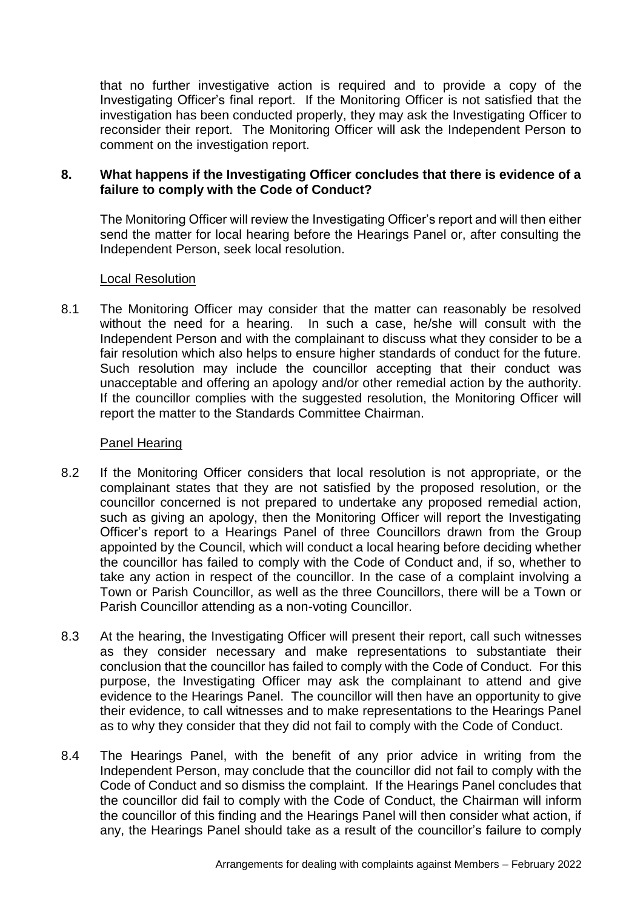that no further investigative action is required and to provide a copy of the Investigating Officer's final report. If the Monitoring Officer is not satisfied that the investigation has been conducted properly, they may ask the Investigating Officer to reconsider their report. The Monitoring Officer will ask the Independent Person to comment on the investigation report.

## **8. What happens if the Investigating Officer concludes that there is evidence of a failure to comply with the Code of Conduct?**

The Monitoring Officer will review the Investigating Officer's report and will then either send the matter for local hearing before the Hearings Panel or, after consulting the Independent Person, seek local resolution.

## Local Resolution

8.1 The Monitoring Officer may consider that the matter can reasonably be resolved without the need for a hearing. In such a case, he/she will consult with the Independent Person and with the complainant to discuss what they consider to be a fair resolution which also helps to ensure higher standards of conduct for the future. Such resolution may include the councillor accepting that their conduct was unacceptable and offering an apology and/or other remedial action by the authority. If the councillor complies with the suggested resolution, the Monitoring Officer will report the matter to the Standards Committee Chairman.

## Panel Hearing

- 8.2 If the Monitoring Officer considers that local resolution is not appropriate, or the complainant states that they are not satisfied by the proposed resolution, or the councillor concerned is not prepared to undertake any proposed remedial action, such as giving an apology, then the Monitoring Officer will report the Investigating Officer's report to a Hearings Panel of three Councillors drawn from the Group appointed by the Council, which will conduct a local hearing before deciding whether the councillor has failed to comply with the Code of Conduct and, if so, whether to take any action in respect of the councillor. In the case of a complaint involving a Town or Parish Councillor, as well as the three Councillors, there will be a Town or Parish Councillor attending as a non-voting Councillor.
- 8.3 At the hearing, the Investigating Officer will present their report, call such witnesses as they consider necessary and make representations to substantiate their conclusion that the councillor has failed to comply with the Code of Conduct. For this purpose, the Investigating Officer may ask the complainant to attend and give evidence to the Hearings Panel. The councillor will then have an opportunity to give their evidence, to call witnesses and to make representations to the Hearings Panel as to why they consider that they did not fail to comply with the Code of Conduct.
- 8.4 The Hearings Panel, with the benefit of any prior advice in writing from the Independent Person, may conclude that the councillor did not fail to comply with the Code of Conduct and so dismiss the complaint. If the Hearings Panel concludes that the councillor did fail to comply with the Code of Conduct, the Chairman will inform the councillor of this finding and the Hearings Panel will then consider what action, if any, the Hearings Panel should take as a result of the councillor's failure to comply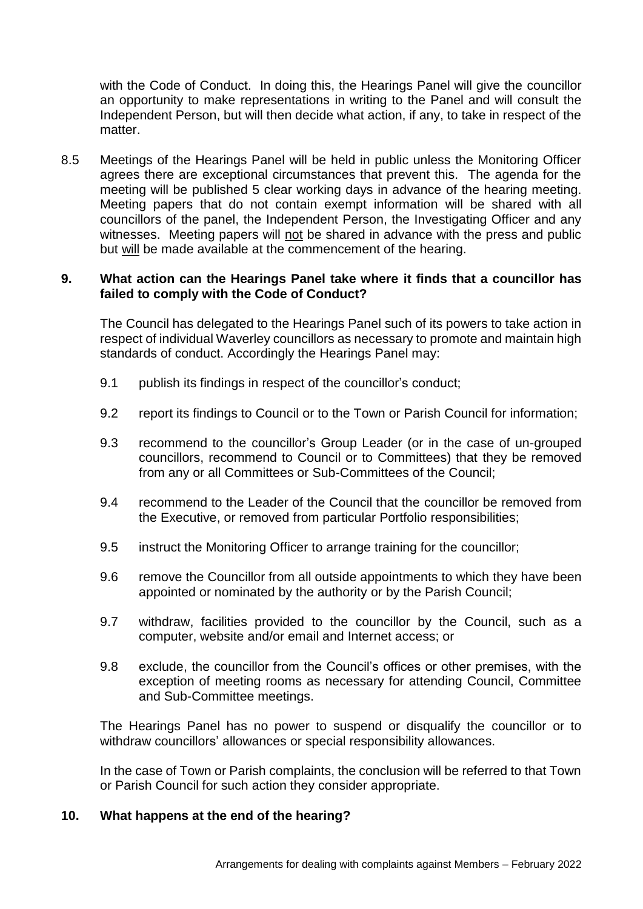with the Code of Conduct. In doing this, the Hearings Panel will give the councillor an opportunity to make representations in writing to the Panel and will consult the Independent Person, but will then decide what action, if any, to take in respect of the matter.

8.5 Meetings of the Hearings Panel will be held in public unless the Monitoring Officer agrees there are exceptional circumstances that prevent this. The agenda for the meeting will be published 5 clear working days in advance of the hearing meeting. Meeting papers that do not contain exempt information will be shared with all councillors of the panel, the Independent Person, the Investigating Officer and any witnesses. Meeting papers will not be shared in advance with the press and public but will be made available at the commencement of the hearing.

#### **9. What action can the Hearings Panel take where it finds that a councillor has failed to comply with the Code of Conduct?**

The Council has delegated to the Hearings Panel such of its powers to take action in respect of individual Waverley councillors as necessary to promote and maintain high standards of conduct. Accordingly the Hearings Panel may:

- 9.1 publish its findings in respect of the councillor's conduct;
- 9.2 report its findings to Council or to the Town or Parish Council for information;
- 9.3 recommend to the councillor's Group Leader (or in the case of un-grouped councillors, recommend to Council or to Committees) that they be removed from any or all Committees or Sub-Committees of the Council;
- 9.4 recommend to the Leader of the Council that the councillor be removed from the Executive, or removed from particular Portfolio responsibilities;
- 9.5 instruct the Monitoring Officer to arrange training for the councillor;
- 9.6 remove the Councillor from all outside appointments to which they have been appointed or nominated by the authority or by the Parish Council;
- 9.7 withdraw, facilities provided to the councillor by the Council, such as a computer, website and/or email and Internet access; or
- 9.8 exclude, the councillor from the Council's offices or other premises, with the exception of meeting rooms as necessary for attending Council, Committee and Sub-Committee meetings.

The Hearings Panel has no power to suspend or disqualify the councillor or to withdraw councillors' allowances or special responsibility allowances.

In the case of Town or Parish complaints, the conclusion will be referred to that Town or Parish Council for such action they consider appropriate.

#### **10. What happens at the end of the hearing?**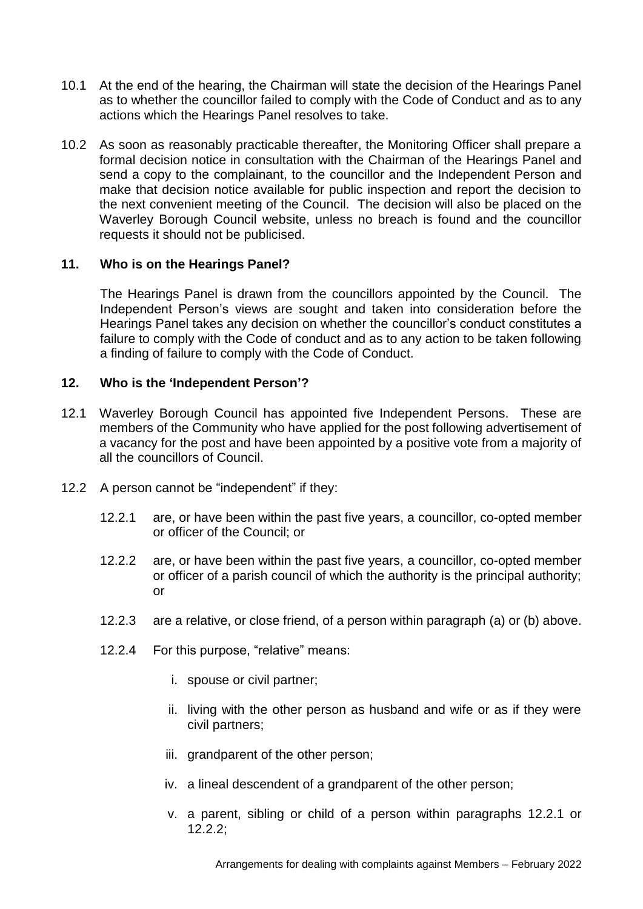- 10.1 At the end of the hearing, the Chairman will state the decision of the Hearings Panel as to whether the councillor failed to comply with the Code of Conduct and as to any actions which the Hearings Panel resolves to take.
- 10.2 As soon as reasonably practicable thereafter, the Monitoring Officer shall prepare a formal decision notice in consultation with the Chairman of the Hearings Panel and send a copy to the complainant, to the councillor and the Independent Person and make that decision notice available for public inspection and report the decision to the next convenient meeting of the Council. The decision will also be placed on the Waverley Borough Council website, unless no breach is found and the councillor requests it should not be publicised.

## **11. Who is on the Hearings Panel?**

The Hearings Panel is drawn from the councillors appointed by the Council. The Independent Person's views are sought and taken into consideration before the Hearings Panel takes any decision on whether the councillor's conduct constitutes a failure to comply with the Code of conduct and as to any action to be taken following a finding of failure to comply with the Code of Conduct.

# **12. Who is the 'Independent Person'?**

- 12.1 Waverley Borough Council has appointed five Independent Persons. These are members of the Community who have applied for the post following advertisement of a vacancy for the post and have been appointed by a positive vote from a majority of all the councillors of Council.
- 12.2 A person cannot be "independent" if they:
	- 12.2.1 are, or have been within the past five years, a councillor, co-opted member or officer of the Council; or
	- 12.2.2 are, or have been within the past five years, a councillor, co-opted member or officer of a parish council of which the authority is the principal authority; or
	- 12.2.3 are a relative, or close friend, of a person within paragraph (a) or (b) above.
	- 12.2.4 For this purpose, "relative" means:
		- i. spouse or civil partner;
		- ii. living with the other person as husband and wife or as if they were civil partners;
		- iii. grandparent of the other person;
		- iv. a lineal descendent of a grandparent of the other person;
		- v. a parent, sibling or child of a person within paragraphs 12.2.1 or 12.2.2;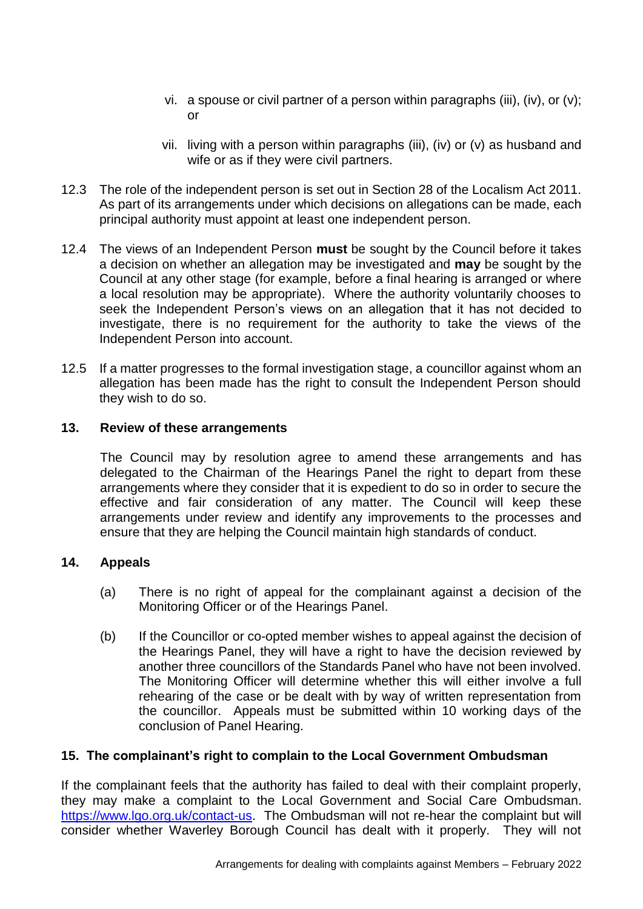- vi. a spouse or civil partner of a person within paragraphs (iii), (iv), or (v); or
- vii. living with a person within paragraphs (iii), (iv) or (v) as husband and wife or as if they were civil partners.
- 12.3 The role of the independent person is set out in Section 28 of the Localism Act 2011. As part of its arrangements under which decisions on allegations can be made, each principal authority must appoint at least one independent person.
- 12.4 The views of an Independent Person **must** be sought by the Council before it takes a decision on whether an allegation may be investigated and **may** be sought by the Council at any other stage (for example, before a final hearing is arranged or where a local resolution may be appropriate). Where the authority voluntarily chooses to seek the Independent Person's views on an allegation that it has not decided to investigate, there is no requirement for the authority to take the views of the Independent Person into account.
- 12.5 If a matter progresses to the formal investigation stage, a councillor against whom an allegation has been made has the right to consult the Independent Person should they wish to do so.

## **13. Review of these arrangements**

The Council may by resolution agree to amend these arrangements and has delegated to the Chairman of the Hearings Panel the right to depart from these arrangements where they consider that it is expedient to do so in order to secure the effective and fair consideration of any matter. The Council will keep these arrangements under review and identify any improvements to the processes and ensure that they are helping the Council maintain high standards of conduct.

# **14. Appeals**

- (a) There is no right of appeal for the complainant against a decision of the Monitoring Officer or of the Hearings Panel.
- (b) If the Councillor or co-opted member wishes to appeal against the decision of the Hearings Panel, they will have a right to have the decision reviewed by another three councillors of the Standards Panel who have not been involved. The Monitoring Officer will determine whether this will either involve a full rehearing of the case or be dealt with by way of written representation from the councillor. Appeals must be submitted within 10 working days of the conclusion of Panel Hearing.

# **15. The complainant's right to complain to the Local Government Ombudsman**

If the complainant feels that the authority has failed to deal with their complaint properly, they may make a complaint to the Local Government and Social Care Ombudsman. [https://www.lgo.org.uk/contact-us.](https://www.lgo.org.uk/contact-us) The Ombudsman will not re-hear the complaint but will consider whether Waverley Borough Council has dealt with it properly. They will not